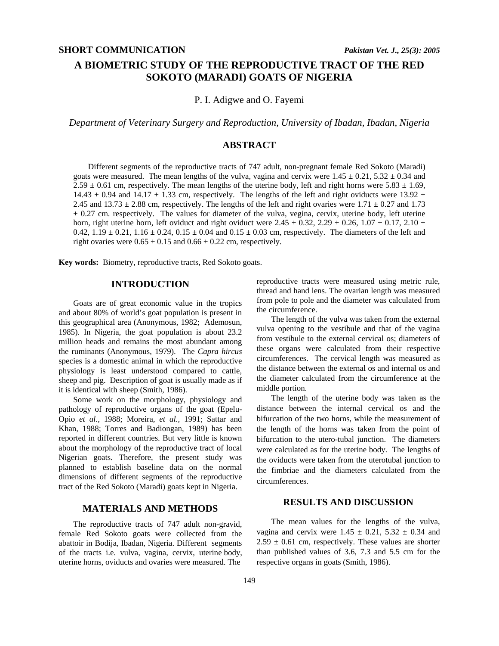# **A BIOMETRIC STUDY OF THE REPRODUCTIVE TRACT OF THE RED SOKOTO (MARADI) GOATS OF NIGERIA**

P. I. Adigwe and O. Fayemi

*Department of Veterinary Surgery and Reproduction, University of Ibadan, Ibadan, Nigeria* 

### **ABSTRACT**

Different segments of the reproductive tracts of 747 adult, non-pregnant female Red Sokoto (Maradi) goats were measured. The mean lengths of the vulva, vagina and cervix were  $1.45 \pm 0.21$ ,  $5.32 \pm 0.34$  and  $2.59 \pm 0.61$  cm, respectively. The mean lengths of the uterine body, left and right horns were  $5.83 \pm 1.69$ , 14.43  $\pm$  0.94 and 14.17  $\pm$  1.33 cm, respectively. The lengths of the left and right oviducts were 13.92  $\pm$ 2.45 and 13.73  $\pm$  2.88 cm, respectively. The lengths of the left and right ovaries were 1.71  $\pm$  0.27 and 1.73  $\pm$  0.27 cm. respectively. The values for diameter of the vulva, vegina, cervix, uterine body, left uterine horn, right uterine horn, left oviduct and right oviduct were  $2.45 \pm 0.32$ ,  $2.29 \pm 0.26$ ,  $1.07 \pm 0.17$ ,  $2.10 \pm 0.17$ 0.42,  $1.19 \pm 0.21$ ,  $1.16 \pm 0.24$ ,  $0.15 \pm 0.04$  and  $0.15 \pm 0.03$  cm, respectively. The diameters of the left and right ovaries were  $0.65 \pm 0.15$  and  $0.66 \pm 0.22$  cm, respectively.

**Key words:** Biometry, reproductive tracts, Red Sokoto goats.

#### **INTRODUCTION**

Goats are of great economic value in the tropics and about 80% of world's goat population is present in this geographical area (Anonymous, 1982; Ademosun, 1985). In Nigeria, the goat population is about 23.2 million heads and remains the most abundant among the ruminants (Anonymous, 1979). The *Capra hircus* species is a domestic animal in which the reproductive physiology is least understood compared to cattle, sheep and pig. Description of goat is usually made as if it is identical with sheep (Smith, 1986).

Some work on the morphology, physiology and pathology of reproductive organs of the goat (Epelu-Opio *et al.*, 1988; Moreira, *et al.,* 1991; Sattar and Khan, 1988; Torres and Badiongan, 1989) has been reported in different countries. But very little is known about the morphology of the reproductive tract of local Nigerian goats. Therefore, the present study was planned to establish baseline data on the normal dimensions of different segments of the reproductive tract of the Red Sokoto (Maradi) goats kept in Nigeria.

### **MATERIALS AND METHODS**

The reproductive tracts of 747 adult non-gravid, female Red Sokoto goats were collected from the abattoir in Bodija, Ibadan, Nigeria. Different segments of the tracts i.e. vulva, vagina, cervix, uterine body, uterine horns, oviducts and ovaries were measured. The

reproductive tracts were measured using metric rule, thread and hand lens. The ovarian length was measured from pole to pole and the diameter was calculated from the circumference.

The length of the vulva was taken from the external vulva opening to the vestibule and that of the vagina from vestibule to the external cervical os; diameters of these organs were calculated from their respective circumferences. The cervical length was measured as the distance between the external os and internal os and the diameter calculated from the circumference at the middle portion.

The length of the uterine body was taken as the distance between the internal cervical os and the bifurcation of the two horns, while the measurement of the length of the horns was taken from the point of bifurcation to the utero-tubal junction. The diameters were calculated as for the uterine body. The lengths of the oviducts were taken from the uterotubal junction to the fimbriae and the diameters calculated from the circumferences.

## **RESULTS AND DISCUSSION**

The mean values for the lengths of the vulva, vagina and cervix were  $1.45 \pm 0.21$ ,  $5.32 \pm 0.34$  and  $2.59 \pm 0.61$  cm, respectively. These values are shorter than published values of 3.6, 7.3 and 5.5 cm for the respective organs in goats (Smith, 1986).